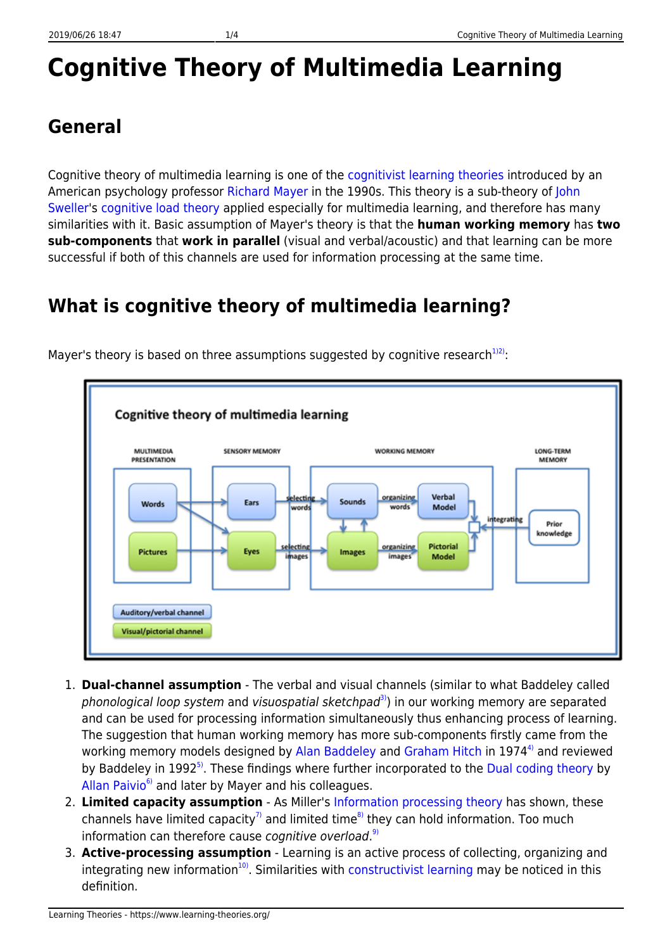# **Cognitive Theory of Multimedia Learning**

### **General**

Cognitive theory of multimedia learning is one of the [cognitivist learning theories](https://www.learning-theories.org/doku.php?id=learning_paradigms:cognitivism#learning_theories) introduced by an American psychology professor [Richard Mayer](http://www.psych.ucsb.edu/people/faculty/mayer/index.php) in the 1990s. This theory is a sub-theory of [John](http://education.arts.unsw.edu.au/staff/john-sweller-726.html) [Sweller](http://education.arts.unsw.edu.au/staff/john-sweller-726.html)'s [cognitive load theory](https://www.learning-theories.org/doku.php?id=learning_theories:cognitive_load_theory) applied especially for multimedia learning, and therefore has many similarities with it. Basic assumption of Mayer's theory is that the **human working memory** has **two sub-components** that **work in parallel** (visual and verbal/acoustic) and that learning can be more successful if both of this channels are used for information processing at the same time.

## **What is cognitive theory of multimedia learning?**



Mayer's theory is based on three assumptions suggested by cognitive research<sup>[1\)2\)](#page--1-0)</sup>:

- 1. **Dual-channel assumption** The verbal and visual channels (similar to what Baddeley called phonological loop system and visuospatial sketchpad<sup>3</sup>) in our working memory are separated and can be used for processing information simultaneously thus enhancing process of learning. The suggestion that human working memory has more sub-components firstly came from the working memory models designed by [Alan Baddeley](http://www.york.ac.uk/psychology/staff/faculty/ab50/) and [Graham Hitch](http://www.york.ac.uk/res/wml/ghitch.html) in 1974<sup>4</sup> and reviewed by Baddeley in 1992<sup>[5\)](#page--1-0)</sup>. These findings where further incorporated to the [Dual coding theory](https://www.learning-theories.org/doku.php?id=learning_theories:dual_coding_theory) by [Allan Paivio](http://en.wikipedia.org/wiki/Allan_Paivio) $<sup>6</sup>$  and later by Mayer and his colleagues.</sup>
- 2. **Limited capacity assumption** As Miller's [Information processing theory](http://tip.psychology.org/miller.html) has shown, these channels have limited capacity<sup>[7\)](#page--1-0)</sup> and limited time<sup>8</sup> they can hold information. Too much information can therefore cause cognitive overload.<sup>[9\)](#page--1-0)</sup>
- 3. **Active-processing assumption** Learning is an active process of collecting, organizing and integrating new information $10$ . Similarities with [constructivist learning](https://www.learning-theories.org/doku.php?id=learning_paradigms:constructivism) may be noticed in this definition.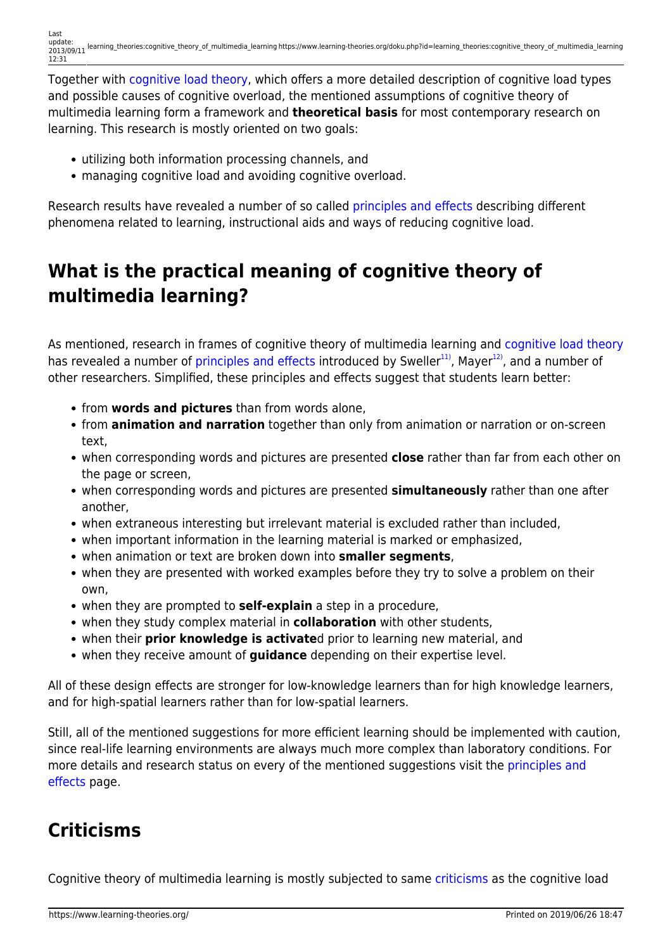Together with [cognitive load theory,](https://www.learning-theories.org/doku.php?id=learning_theories:cognitive_load_theory) which offers a more detailed description of cognitive load types and possible causes of cognitive overload, the mentioned assumptions of cognitive theory of multimedia learning form a framework and **theoretical basis** for most contemporary research on learning. This research is mostly oriented on two goals:

- utilizing both information processing channels, and
- managing cognitive load and avoiding cognitive overload.

Research results have revealed a number of so called [principles and effects](https://www.learning-theories.org/doku.php?id=research_results:principles_and_effects) describing different phenomena related to learning, instructional aids and ways of reducing cognitive load.

### **What is the practical meaning of cognitive theory of multimedia learning?**

As mentioned, research in frames of cognitive theory of multimedia learning and [cognitive load theory](https://www.learning-theories.org/doku.php?id=learning_theories:cognitive_load_theory) has revealed a number of [principles and effects](https://www.learning-theories.org/doku.php?id=research_results:principles_and_effects) introduced by Sweller<sup>[11\)](#page--1-0)</sup>, Mayer<sup>[12\)](#page--1-0)</sup>, and a number of other researchers. Simplified, these principles and effects suggest that students learn better:

- from **words and pictures** than from words alone,
- from **animation and narration** together than only from animation or narration or on-screen text,
- when corresponding words and pictures are presented **close** rather than far from each other on the page or screen,
- when corresponding words and pictures are presented **simultaneously** rather than one after another,
- when extraneous interesting but irrelevant material is excluded rather than included,
- when important information in the learning material is marked or emphasized,
- when animation or text are broken down into **smaller segments**,
- when they are presented with worked examples before they try to solve a problem on their own,
- when they are prompted to **self-explain** a step in a procedure,
- when they study complex material in **collaboration** with other students,
- when their **prior knowledge is activate**d prior to learning new material, and
- when they receive amount of **guidance** depending on their expertise level.

All of these design effects are stronger for low-knowledge learners than for high knowledge learners, and for high-spatial learners rather than for low-spatial learners.

Still, all of the mentioned suggestions for more efficient learning should be implemented with caution, since real-life learning environments are always much more complex than laboratory conditions. For more details and research status on every of the mentioned suggestions visit the [principles and](https://www.learning-theories.org/doku.php?id=research_results:principles_and_effects) [effects](https://www.learning-theories.org/doku.php?id=research_results:principles_and_effects) page.

### **Criticisms**

Cognitive theory of multimedia learning is mostly subjected to same [criticisms](https://www.learning-theories.org/doku.php?id=learning_theories:cognitive_load_theory#criticisms) as the cognitive load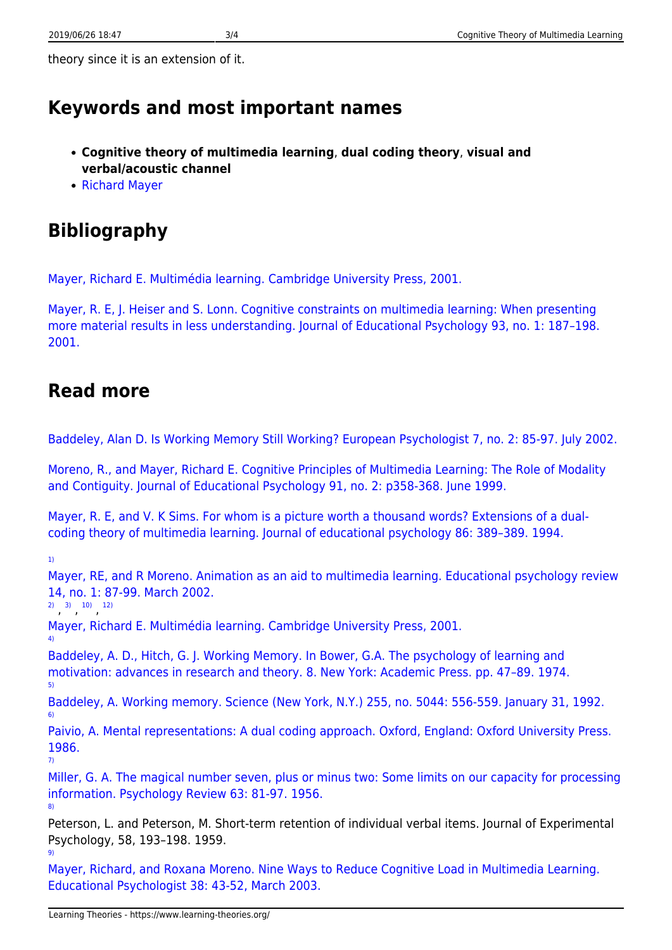theory since it is an extension of it.

#### **Keywords and most important names**

- **Cognitive theory of multimedia learning**, **dual coding theory**, **visual and verbal/acoustic channel**
- [Richard Mayer](http://www.psych.ucsb.edu/people/faculty/mayer/index.php)

## **Bibliography**

[Mayer, Richard E. Multimédia learning. Cambridge University Press, 2001.](http://books.google.hr/books?id=ymJ9o-w_6WEC&printsec=frontcover&dq=Mayer,+Richard+E.+Multim%C3%A9dia+learning&hl=hr&ei=XMNrTeSmG43ItAbaprn3DA&sa=X&oi=book_result&ct=result&resnum=1&ved=0CCcQ6AEwAA#v=onepage&q&f=false)

[Mayer, R. E, J. Heiser and S. Lonn. Cognitive constraints on multimedia learning: When presenting](http://visuallearningresearch.wiki.educ.msu.edu/file/view/Mayer,+Heiser,+%26+Lonn+%282001%29.pdf) [more material results in less understanding. Journal of Educational Psychology 93, no. 1: 187–198.](http://visuallearningresearch.wiki.educ.msu.edu/file/view/Mayer,+Heiser,+%26+Lonn+%282001%29.pdf) [2001.](http://visuallearningresearch.wiki.educ.msu.edu/file/view/Mayer,+Heiser,+%26+Lonn+%282001%29.pdf)

### **Read more**

[Baddeley, Alan D. Is Working Memory Still Working? European Psychologist 7, no. 2: 85-97. July 2002.](http://www.simplypsychology.org/Is%20Working%20Memory%20Still%20Working.pdf)

[Moreno, R., and Mayer, Richard E. Cognitive Principles of Multimedia Learning: The Role of Modality](http://www.sciencedirect.com/science/article/pii/S0022066302002210) [and Contiguity. Journal of Educational Psychology 91, no. 2: p358-368. June 1999.](http://www.sciencedirect.com/science/article/pii/S0022066302002210)

[Mayer, R. E, and V. K Sims. For whom is a picture worth a thousand words? Extensions of a dual](http://visuallearningresearch.wiki.educ.msu.edu/file/view/Mayer+%26+Sims+%281994%29.pdf/50533673/Mayer+%26+Sims+%281994%29.pdf)[coding theory of multimedia learning. Journal of educational psychology 86: 389–389. 1994.](http://visuallearningresearch.wiki.educ.msu.edu/file/view/Mayer+%26+Sims+%281994%29.pdf/50533673/Mayer+%26+Sims+%281994%29.pdf)

[1\)](#page--1-0)

[4\)](#page--1-0)

[8\)](#page--1-0)

[9\)](#page--1-0)

[Mayer, RE, and R Moreno. Animation as an aid to multimedia learning. Educational psychology review](http://scienceview.berkeley.edu/research/agents/02.Mayer.Moreno.EPR.pdf) [14, no. 1: 87-99. March 2002.](http://scienceview.berkeley.edu/research/agents/02.Mayer.Moreno.EPR.pdf)

[2\)](#page--1-0) [3\)](#page--1-0) [10\)](#page--1-0) [12\)](#page--1-0)

[Mayer, Richard E. Multimédia learning. Cambridge University Press, 2001.](http://books.google.hr/books?id=ymJ9o-w_6WEC&printsec=frontcover&dq=Mayer,+Richard+E.+Multim%C3%A9dia+learning&hl=hr&ei=XMNrTeSmG43ItAbaprn3DA&sa=X&oi=book_result&ct=result&resnum=1&ved=0CCcQ6AEwAA#v=onepage&q&f=false)

[Baddeley, A. D., Hitch, G. J. Working Memory. In Bower, G.A. The psychology of learning and](http://dionysus.psych.wisc.edu/Lit/Articles/BaddeleyA1974a.pdf) [motivation: advances in research and theory. 8. New York: Academic Press. pp. 47–89. 1974.](http://dionysus.psych.wisc.edu/Lit/Articles/BaddeleyA1974a.pdf) [5\)](#page--1-0)

[Baddeley, A. Working memory. Science \(New York, N.Y.\) 255, no. 5044: 556-559. January 31, 1992.](http://www.sciencemag.org/content/255/5044/556.abstract) [6\)](#page--1-0)

[Paivio, A. Mental representations: A dual coding approach. Oxford, England: Oxford University Press.](http://www.ebook3000.com/Mental-Representations--A-Dual-Coding-Approach_123738.html) [1986.](http://www.ebook3000.com/Mental-Representations--A-Dual-Coding-Approach_123738.html) [7\)](#page--1-0)

[Miller, G. A. The magical number seven, plus or minus two: Some limits on our capacity for processing](http://cogprints.org/730/1/miller.html) [information. Psychology Review 63: 81-97. 1956.](http://cogprints.org/730/1/miller.html)

Peterson, L. and Peterson, M. Short-term retention of individual verbal items. Journal of Experimental Psychology, 58, 193–198. 1959.

[Mayer, Richard, and Roxana Moreno. Nine Ways to Reduce Cognitive Load in Multimedia Learning.](http://www.uky.edu/~gmswan3/544/9_ways_to_reduce_CL.pdf) [Educational Psychologist 38: 43-52, March 2003.](http://www.uky.edu/~gmswan3/544/9_ways_to_reduce_CL.pdf)